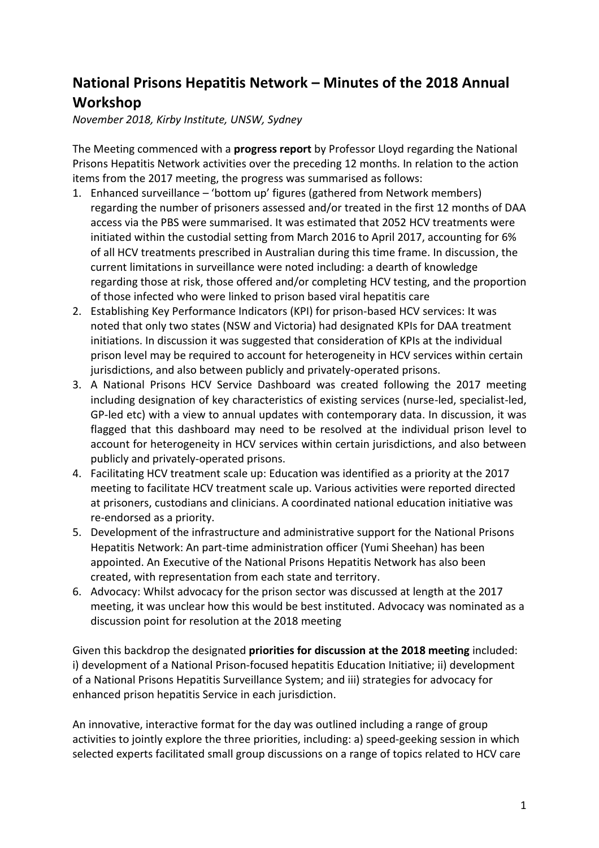# **National Prisons Hepatitis Network – Minutes of the 2018 Annual Workshop**

*November 2018, Kirby Institute, UNSW, Sydney*

The Meeting commenced with a **progress report** by Professor Lloyd regarding the National Prisons Hepatitis Network activities over the preceding 12 months. In relation to the action items from the 2017 meeting, the progress was summarised as follows:

- 1. Enhanced surveillance 'bottom up' figures (gathered from Network members) regarding the number of prisoners assessed and/or treated in the first 12 months of DAA access via the PBS were summarised. It was estimated that 2052 HCV treatments were initiated within the custodial setting from March 2016 to April 2017, accounting for 6% of all HCV treatments prescribed in Australian during this time frame. In discussion, the current limitations in surveillance were noted including: a dearth of knowledge regarding those at risk, those offered and/or completing HCV testing, and the proportion of those infected who were linked to prison based viral hepatitis care
- 2. Establishing Key Performance Indicators (KPI) for prison-based HCV services: It was noted that only two states (NSW and Victoria) had designated KPIs for DAA treatment initiations. In discussion it was suggested that consideration of KPIs at the individual prison level may be required to account for heterogeneity in HCV services within certain jurisdictions, and also between publicly and privately-operated prisons.
- 3. A National Prisons HCV Service Dashboard was created following the 2017 meeting including designation of key characteristics of existing services (nurse-led, specialist-led, GP-led etc) with a view to annual updates with contemporary data. In discussion, it was flagged that this dashboard may need to be resolved at the individual prison level to account for heterogeneity in HCV services within certain jurisdictions, and also between publicly and privately-operated prisons.
- 4. Facilitating HCV treatment scale up: Education was identified as a priority at the 2017 meeting to facilitate HCV treatment scale up. Various activities were reported directed at prisoners, custodians and clinicians. A coordinated national education initiative was re-endorsed as a priority.
- 5. Development of the infrastructure and administrative support for the National Prisons Hepatitis Network: An part-time administration officer (Yumi Sheehan) has been appointed. An Executive of the National Prisons Hepatitis Network has also been created, with representation from each state and territory.
- 6. Advocacy: Whilst advocacy for the prison sector was discussed at length at the 2017 meeting, it was unclear how this would be best instituted. Advocacy was nominated as a discussion point for resolution at the 2018 meeting

Given this backdrop the designated **priorities for discussion at the 2018 meeting** included: i) development of a National Prison-focused hepatitis Education Initiative; ii) development of a National Prisons Hepatitis Surveillance System; and iii) strategies for advocacy for enhanced prison hepatitis Service in each jurisdiction.

An innovative, interactive format for the day was outlined including a range of group activities to jointly explore the three priorities, including: a) speed-geeking session in which selected experts facilitated small group discussions on a range of topics related to HCV care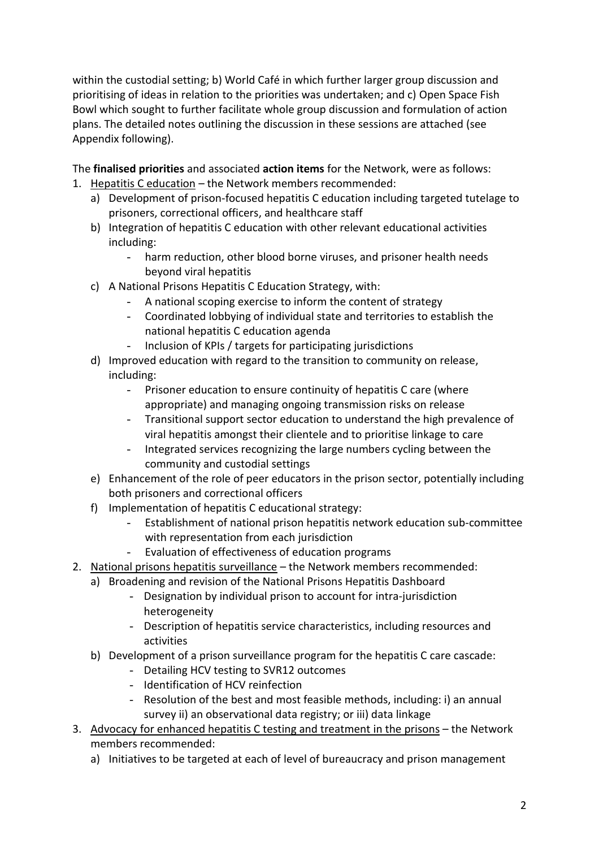within the custodial setting; b) World Café in which further larger group discussion and prioritising of ideas in relation to the priorities was undertaken; and c) Open Space Fish Bowl which sought to further facilitate whole group discussion and formulation of action plans. The detailed notes outlining the discussion in these sessions are attached (see Appendix following).

The **finalised priorities** and associated **action items** for the Network, were as follows:

- 1. Hepatitis C education the Network members recommended:
	- a) Development of prison-focused hepatitis C education including targeted tutelage to prisoners, correctional officers, and healthcare staff
	- b) Integration of hepatitis C education with other relevant educational activities including:
		- harm reduction, other blood borne viruses, and prisoner health needs beyond viral hepatitis
	- c) A National Prisons Hepatitis C Education Strategy, with:
		- A national scoping exercise to inform the content of strategy
		- Coordinated lobbying of individual state and territories to establish the national hepatitis C education agenda
		- Inclusion of KPIs / targets for participating jurisdictions
	- d) Improved education with regard to the transition to community on release, including:
		- Prisoner education to ensure continuity of hepatitis C care (where appropriate) and managing ongoing transmission risks on release
		- Transitional support sector education to understand the high prevalence of viral hepatitis amongst their clientele and to prioritise linkage to care
		- Integrated services recognizing the large numbers cycling between the community and custodial settings
	- e) Enhancement of the role of peer educators in the prison sector, potentially including both prisoners and correctional officers
	- f) Implementation of hepatitis C educational strategy:
		- Establishment of national prison hepatitis network education sub-committee with representation from each jurisdiction
		- Evaluation of effectiveness of education programs
- 2. National prisons hepatitis surveillance the Network members recommended:
	- a) Broadening and revision of the National Prisons Hepatitis Dashboard
		- Designation by individual prison to account for intra-jurisdiction heterogeneity
		- Description of hepatitis service characteristics, including resources and activities
	- b) Development of a prison surveillance program for the hepatitis C care cascade:
		- Detailing HCV testing to SVR12 outcomes
		- Identification of HCV reinfection
		- Resolution of the best and most feasible methods, including: i) an annual survey ii) an observational data registry; or iii) data linkage
- 3. Advocacy for enhanced hepatitis C testing and treatment in the prisons the Network members recommended:
	- a) Initiatives to be targeted at each of level of bureaucracy and prison management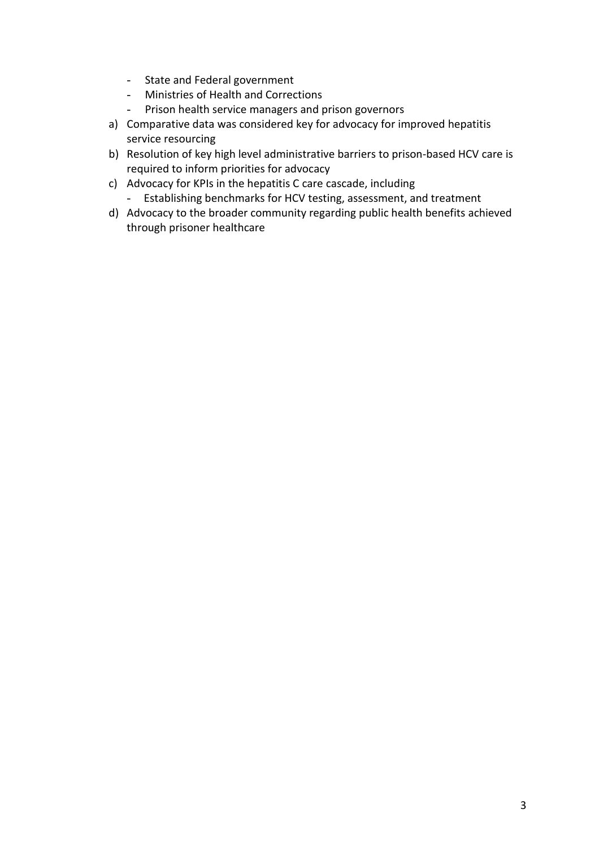- State and Federal government
- Ministries of Health and Corrections
- Prison health service managers and prison governors
- a) Comparative data was considered key for advocacy for improved hepatitis service resourcing
- b) Resolution of key high level administrative barriers to prison-based HCV care is required to inform priorities for advocacy
- c) Advocacy for KPIs in the hepatitis C care cascade, including
	- Establishing benchmarks for HCV testing, assessment, and treatment
- d) Advocacy to the broader community regarding public health benefits achieved through prisoner healthcare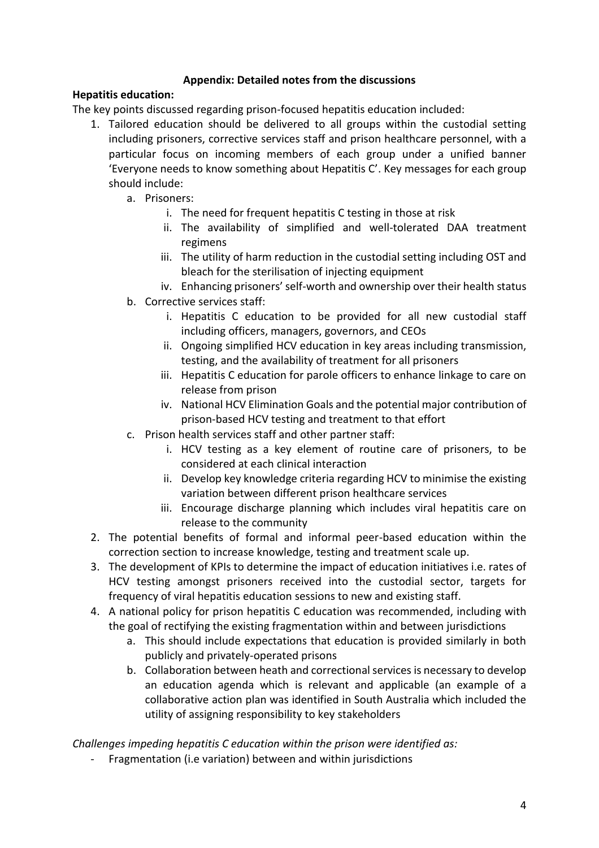## **Appendix: Detailed notes from the discussions**

#### **Hepatitis education:**

The key points discussed regarding prison-focused hepatitis education included:

- 1. Tailored education should be delivered to all groups within the custodial setting including prisoners, corrective services staff and prison healthcare personnel, with a particular focus on incoming members of each group under a unified banner 'Everyone needs to know something about Hepatitis C'. Key messages for each group should include:
	- a. Prisoners:
		- i. The need for frequent hepatitis C testing in those at risk
		- ii. The availability of simplified and well-tolerated DAA treatment regimens
		- iii. The utility of harm reduction in the custodial setting including OST and bleach for the sterilisation of injecting equipment
		- iv. Enhancing prisoners' self-worth and ownership over their health status
	- b. Corrective services staff:
		- i. Hepatitis C education to be provided for all new custodial staff including officers, managers, governors, and CEOs
		- ii. Ongoing simplified HCV education in key areas including transmission, testing, and the availability of treatment for all prisoners
		- iii. Hepatitis C education for parole officers to enhance linkage to care on release from prison
		- iv. National HCV Elimination Goals and the potential major contribution of prison-based HCV testing and treatment to that effort
	- c. Prison health services staff and other partner staff:
		- i. HCV testing as a key element of routine care of prisoners, to be considered at each clinical interaction
		- ii. Develop key knowledge criteria regarding HCV to minimise the existing variation between different prison healthcare services
		- iii. Encourage discharge planning which includes viral hepatitis care on release to the community
- 2. The potential benefits of formal and informal peer-based education within the correction section to increase knowledge, testing and treatment scale up.
- 3. The development of KPIs to determine the impact of education initiatives i.e. rates of HCV testing amongst prisoners received into the custodial sector, targets for frequency of viral hepatitis education sessions to new and existing staff.
- 4. A national policy for prison hepatitis C education was recommended, including with the goal of rectifying the existing fragmentation within and between jurisdictions
	- a. This should include expectations that education is provided similarly in both publicly and privately-operated prisons
	- b. Collaboration between heath and correctional services is necessary to develop an education agenda which is relevant and applicable (an example of a collaborative action plan was identified in South Australia which included the utility of assigning responsibility to key stakeholders

*Challenges impeding hepatitis C education within the prison were identified as:*

- Fragmentation (i.e variation) between and within jurisdictions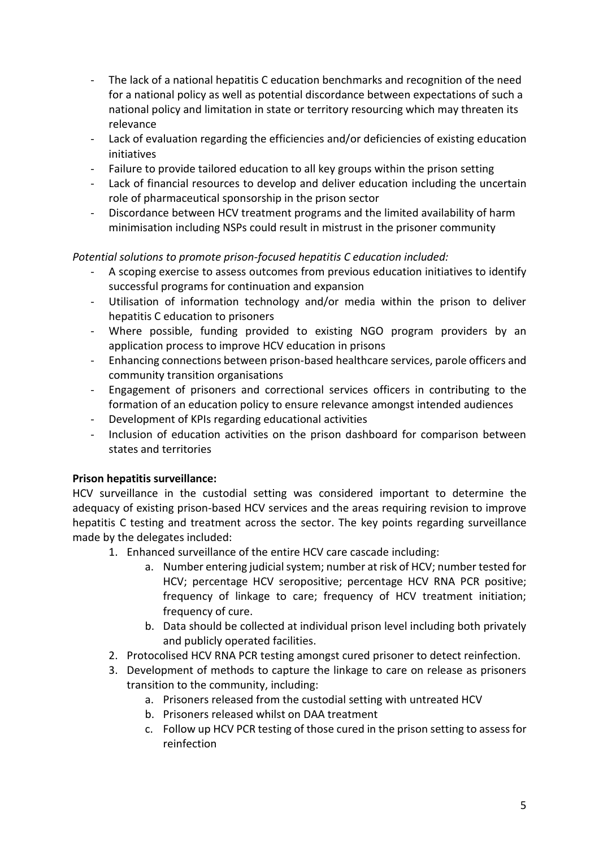- The lack of a national hepatitis C education benchmarks and recognition of the need for a national policy as well as potential discordance between expectations of such a national policy and limitation in state or territory resourcing which may threaten its relevance
- Lack of evaluation regarding the efficiencies and/or deficiencies of existing education initiatives
- Failure to provide tailored education to all key groups within the prison setting
- Lack of financial resources to develop and deliver education including the uncertain role of pharmaceutical sponsorship in the prison sector
- Discordance between HCV treatment programs and the limited availability of harm minimisation including NSPs could result in mistrust in the prisoner community

## *Potential solutions to promote prison-focused hepatitis C education included:*

- A scoping exercise to assess outcomes from previous education initiatives to identify successful programs for continuation and expansion
- Utilisation of information technology and/or media within the prison to deliver hepatitis C education to prisoners
- Where possible, funding provided to existing NGO program providers by an application process to improve HCV education in prisons
- Enhancing connections between prison-based healthcare services, parole officers and community transition organisations
- Engagement of prisoners and correctional services officers in contributing to the formation of an education policy to ensure relevance amongst intended audiences
- Development of KPIs regarding educational activities
- Inclusion of education activities on the prison dashboard for comparison between states and territories

#### **Prison hepatitis surveillance:**

HCV surveillance in the custodial setting was considered important to determine the adequacy of existing prison-based HCV services and the areas requiring revision to improve hepatitis C testing and treatment across the sector. The key points regarding surveillance made by the delegates included:

- 1. Enhanced surveillance of the entire HCV care cascade including:
	- a. Number entering judicial system; number at risk of HCV; number tested for HCV; percentage HCV seropositive; percentage HCV RNA PCR positive; frequency of linkage to care; frequency of HCV treatment initiation; frequency of cure.
	- b. Data should be collected at individual prison level including both privately and publicly operated facilities.
- 2. Protocolised HCV RNA PCR testing amongst cured prisoner to detect reinfection.
- 3. Development of methods to capture the linkage to care on release as prisoners transition to the community, including:
	- a. Prisoners released from the custodial setting with untreated HCV
	- b. Prisoners released whilst on DAA treatment
	- c. Follow up HCV PCR testing of those cured in the prison setting to assess for reinfection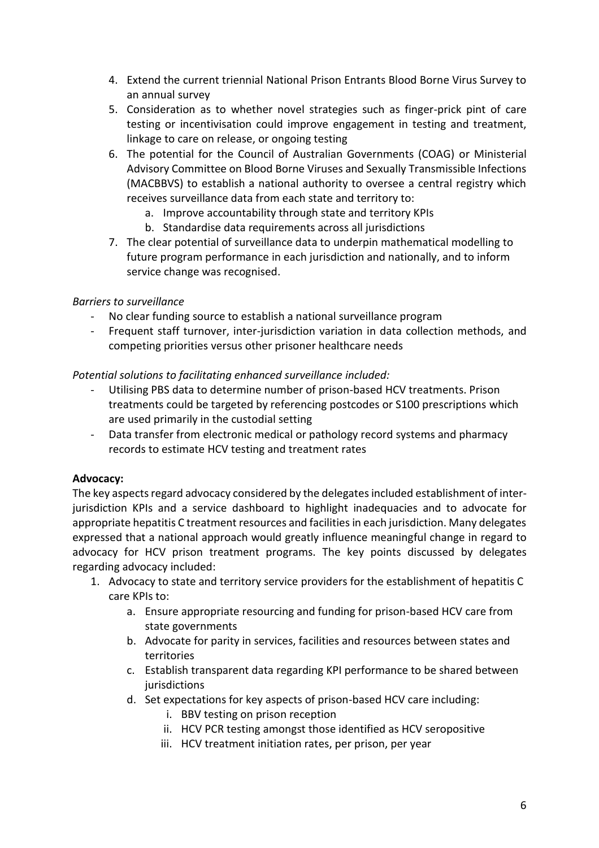- 4. Extend the current triennial National Prison Entrants Blood Borne Virus Survey to an annual survey
- 5. Consideration as to whether novel strategies such as finger-prick pint of care testing or incentivisation could improve engagement in testing and treatment, linkage to care on release, or ongoing testing
- 6. The potential for the Council of Australian Governments (COAG) or Ministerial Advisory Committee on Blood Borne Viruses and Sexually Transmissible Infections (MACBBVS) to establish a national authority to oversee a central registry which receives surveillance data from each state and territory to:
	- a. Improve accountability through state and territory KPIs
	- b. Standardise data requirements across all jurisdictions
- 7. The clear potential of surveillance data to underpin mathematical modelling to future program performance in each jurisdiction and nationally, and to inform service change was recognised.

## *Barriers to surveillance*

- No clear funding source to establish a national surveillance program
- Frequent staff turnover, inter-jurisdiction variation in data collection methods, and competing priorities versus other prisoner healthcare needs

*Potential solutions to facilitating enhanced surveillance included:*

- Utilising PBS data to determine number of prison-based HCV treatments. Prison treatments could be targeted by referencing postcodes or S100 prescriptions which are used primarily in the custodial setting
- Data transfer from electronic medical or pathology record systems and pharmacy records to estimate HCV testing and treatment rates

#### **Advocacy:**

The key aspects regard advocacy considered by the delegates included establishment of interjurisdiction KPIs and a service dashboard to highlight inadequacies and to advocate for appropriate hepatitis C treatment resources and facilities in each jurisdiction. Many delegates expressed that a national approach would greatly influence meaningful change in regard to advocacy for HCV prison treatment programs. The key points discussed by delegates regarding advocacy included:

- 1. Advocacy to state and territory service providers for the establishment of hepatitis C care KPIs to:
	- a. Ensure appropriate resourcing and funding for prison-based HCV care from state governments
	- b. Advocate for parity in services, facilities and resources between states and territories
	- c. Establish transparent data regarding KPI performance to be shared between jurisdictions
	- d. Set expectations for key aspects of prison-based HCV care including:
		- i. BBV testing on prison reception
		- ii. HCV PCR testing amongst those identified as HCV seropositive
		- iii. HCV treatment initiation rates, per prison, per year